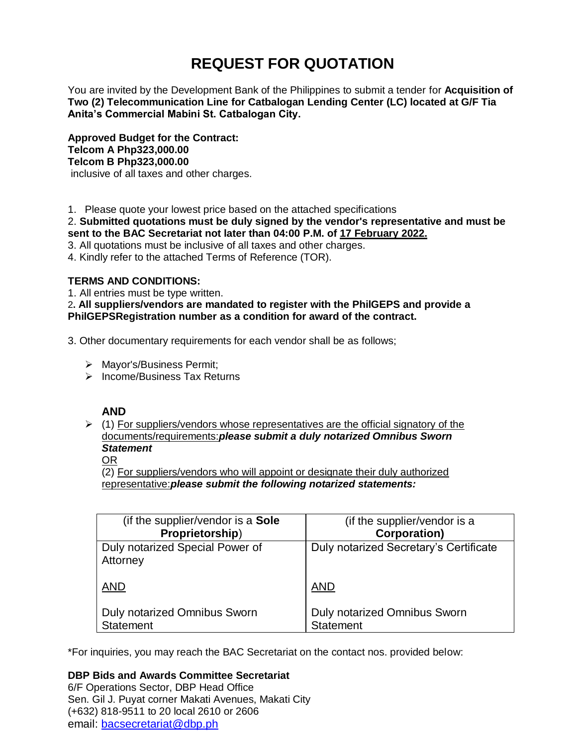# **REQUEST FOR QUOTATION**

You are invited by the Development Bank of the Philippines to submit a tender for **Acquisition of Two (2) Telecommunication Line for Catbalogan Lending Center (LC) located at G/F Tia Anita's Commercial Mabini St. Catbalogan City.**

**Approved Budget for the Contract: Telcom A Php323,000.00 Telcom B Php323,000.00** inclusive of all taxes and other charges.

1. Please quote your lowest price based on the attached specifications

2. **Submitted quotations must be duly signed by the vendor's representative and must be sent to the BAC Secretariat not later than 04:00 P.M. of 17 February 2022.**

3. All quotations must be inclusive of all taxes and other charges.

4. Kindly refer to the attached Terms of Reference (TOR).

# **TERMS AND CONDITIONS:**

1. All entries must be type written.

2**. All suppliers/vendors are mandated to register with the PhilGEPS and provide a PhilGEPSRegistration number as a condition for award of the contract.**

3. Other documentary requirements for each vendor shall be as follows;

- > Mayor's/Business Permit;
- $\triangleright$  Income/Business Tax Returns

# **AND**

 $\geq$  (1) For suppliers/vendors whose representatives are the official signatory of the documents/requirements:*please submit a duly notarized Omnibus Sworn Statement*

# OR

(2) For suppliers/vendors who will appoint or designate their duly authorized representative:*please submit the following notarized statements:*

| (if the supplier/vendor is a Sole           | (if the supplier/vendor is a           |
|---------------------------------------------|----------------------------------------|
| Proprietorship)                             | <b>Corporation)</b>                    |
| Duly notarized Special Power of<br>Attorney | Duly notarized Secretary's Certificate |
| <b>AND</b>                                  | <b>AND</b>                             |
| <b>Duly notarized Omnibus Sworn</b>         | <b>Duly notarized Omnibus Sworn</b>    |
| <b>Statement</b>                            | <b>Statement</b>                       |

\*For inquiries, you may reach the BAC Secretariat on the contact nos. provided below:

# **DBP Bids and Awards Committee Secretariat**

6/F Operations Sector, DBP Head Office Sen. Gil J. Puyat corner Makati Avenues, Makati City (+632) 818-9511 to 20 local 2610 or 2606 email: [bacsecretariat@dbp.ph](mailto:bacsecretariat@dbp.ph)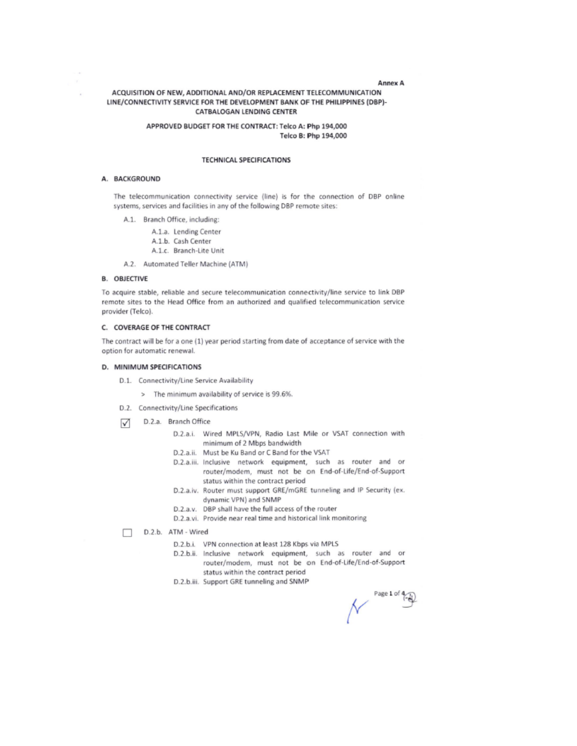#### Annex A

# ACQUISITION OF NEW, ADDITIONAL AND/OR REPLACEMENT TELECOMMUNICATION LINE/CONNECTIVITY SERVICE FOR THE DEVELOPMENT BANK OF THE PHILIPPINES (DBP)-**CATBALOGAN LENDING CENTER**

## APPROVED BUDGET FOR THE CONTRACT: Telco A: Php 194,000 Telco B: Php 194,000

#### **TECHNICAL SPECIFICATIONS**

#### A. BACKGROUND

÷

The telecommunication connectivity service (line) is for the connection of DBP online systems, services and facilities in any of the following DBP remote sites:

- A.1. Branch Office, including:
	- A.1.a. Lending Center
	- A.1.b. Cash Center
	- A.1.c. Branch-Lite Unit
- A.2. Automated Teller Machine (ATM)

#### **B. OBJECTIVE**

To acquire stable, reliable and secure telecommunication connectivity/line service to link DBP remote sites to the Head Office from an authorized and qualified telecommunication service provider (Telco).

# C. COVERAGE OF THE CONTRACT

The contract will be for a one (1) year period starting from date of acceptance of service with the option for automatic renewal.

#### D. MINIMUM SPECIFICATIONS

- D.1. Connectivity/Line Service Availability
	- > The minimum availability of service is 99.6%.
- D.2. Connectivity/Line Specifications
- D.2.a. Branch Office ☑
	- D.2.a.i. Wired MPLS/VPN, Radio Last Mile or VSAT connection with minimum of 2 Mbps bandwidth
	- D.2.a.ii. Must be Ku Band or C Band for the VSAT
	- D.2.a.iii. Inclusive network equipment, such as router and or router/modem, must not be on End-of-Life/End-of-Support status within the contract period
	- D.2.a.iv. Router must support GRE/mGRE tunneling and IP Security (ex. dynamic VPN) and SNMP
	- D.2.a.v. DBP shall have the full access of the router
	- D.2.a.vi. Provide near real time and historical link monitoring

D.2.b. ATM - Wired П

- D.2.b.i. VPN connection at least 128 Kbps via MPLS
- D.2.b.ii. Inclusive network equipment, such as router and or router/modem, must not be on End-of-Life/End-of-Support status within the contract period
- D.2.b.iii. Support GRE tunneling and SNMP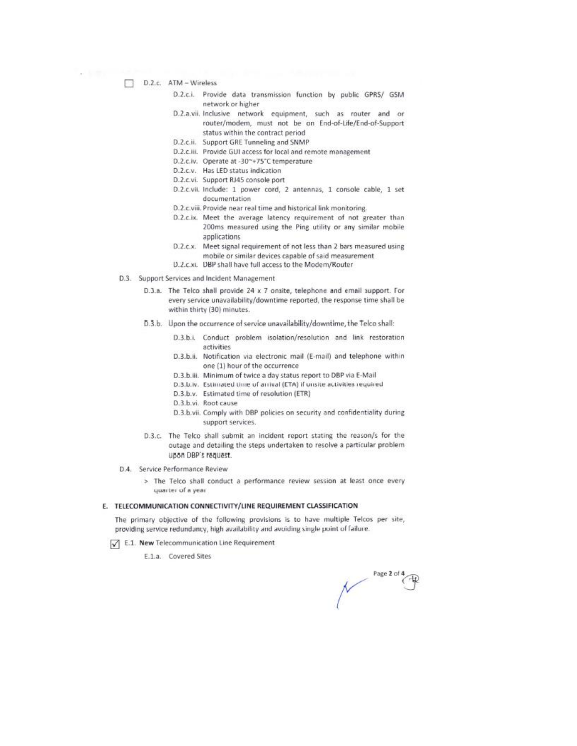- D.2.c. ATM Wireless
	- D.2.c.i. Provide data transmission function by public GPRS/ GSM network or higher
	- D.2.a.vii. Inclusive network equipment, such as router and or router/modem, must not be on End-of-Life/End-of-Support status within the contract period
	- D.2.c.ii. Support GRE Tunneling and SNMP
	- D.2.c.iii. Provide GUI access for local and remote management
	- D.2.c.iv. Operate at -30~+75°C temperature
	- D.2.c.v. Has LED status indication
	- D.2.c.vi. Support RJ45 console port
	- D.2.c.vii. Include: 1 power cord, 2 antennas, 1 console cable, 1 set documentation
	- D.2.c.viii. Provide near real time and historical link monitoring.
	- D.2.c.ix. Meet the average latency requirement of not greater than 200ms measured using the Ping utility or any similar mobile applications
	- D.2.c.x. Meet signal requirement of not less than 2 bars measured using mobile or similar devices capable of said measurement
	- D.2.c.xi. DBP shall have full access to the Modem/Router
- D.3. Support Services and Incident Management
	- D.3.a. The Telco shall provide 24 x 7 onsite, telephone and email support. For every service unavailability/downtime reported, the response time shall be within thirty (30) minutes.
	- D.3.b. Upon the occurrence of service unavailability/downtime, the Telco shall:
		- D.3.b.i. Conduct problem isolation/resolution and link restoration activities
		- D.3.b.ii. Notification via electronic mail (E-mail) and telephone within one (1) hour of the occurrence
		- D.3.b.iii. Minimum of twice a day status report to DBP via E-Mail
		- D.3.b.iv. Estimated time of arrival (ETA) if unsite activities required
		- D.3.b.v. Estimated time of resolution (ETR)
		- D.3.b.vi. Root cause
		- D.3.b.vii. Comply with DBP policies on security and confidentiality during support services.
	- D.3.c. The Telco shall submit an incident report stating the reason/s for the outage and detailing the steps undertaken to resolve a particular problem upon DBP's request.
- D.4. Service Performance Review
	- > The Telco shall conduct a performance review session at least once every quarter of a year

#### E. TELECOMMUNICATION CONNECTIVITY/LINE REQUIREMENT CLASSIFICATION

The primary objective of the following provisions is to have multiple Telcos per site, providing service redundancy, high availability and avoiding single point of failure.

- E.1. New Telecommunication Line Requirement
	- E.1.a. Covered Sites

Page 2 of 4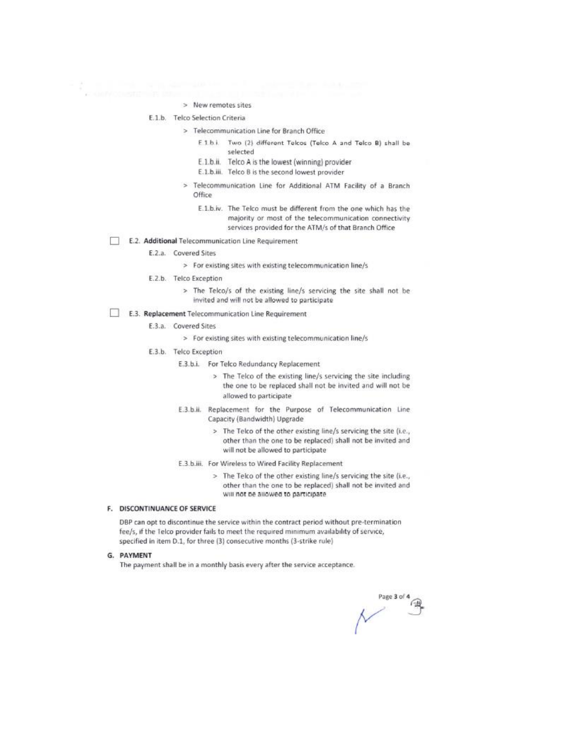## > New remotes sites

#### E.1.b. Telco Selection Criteria

- > Telecommunication Line for Branch Office
	- E 1 bi. Two (2) different Telcos (Telco A and Telco B) shall be selected
	- E.1.b.ii. Telco A is the lowest (winning) provider
	- E.1.b.iii. Telco B is the second lowest provider
- > Telecommunication Line for Additional ATM Facility of a Branch Office
	- E.1.b.iv. The Telco must be different from the one which has the majority or most of the telecommunication connectivity services provided for the ATM/s of that Branch Office
- E.2. Additional Telecommunication Line Requirement п

E.2.a. Covered Sites

> For existing sites with existing telecommunication line/s

- E.2.b. Telco Exception
	- > The Telco/s of the existing line/s servicing the site shall not be invited and will not be allowed to participate

# E.3. Replacement Telecommunication Line Requirement

- E.3.a. Covered Sites
	- > For existing sites with existing telecommunication line/s
- E.3.b. Telco Exception
	- E.3.b.i. For Telco Redundancy Replacement
		- > The Telco of the existing line/s servicing the site including the one to be replaced shall not be invited and will not be allowed to participate
	- E.3.b.ii. Replacement for the Purpose of Telecommunication Line Capacity (Bandwidth) Upgrade
		- > The Telco of the other existing line/s servicing the site (i.e., other than the one to be replaced) shall not be invited and will not be allowed to participate
	- E.3.b.iii. For Wireless to Wired Facility Replacement
		- > The Telco of the other existing line/s servicing the site (i.e., other than the one to be replaced) shall not be invited and will not be allowed to participate

## F. DISCONTINUANCE OF SERVICE

DBP can opt to discontinue the service within the contract period without pre-termination fee/s, if the Telco provider fails to meet the required minimum availability of service, specified in item D.1, for three (3) consecutive months (3-strike rule)

# G. PAYMENT

The payment shall be in a monthly basis every after the service acceptance.